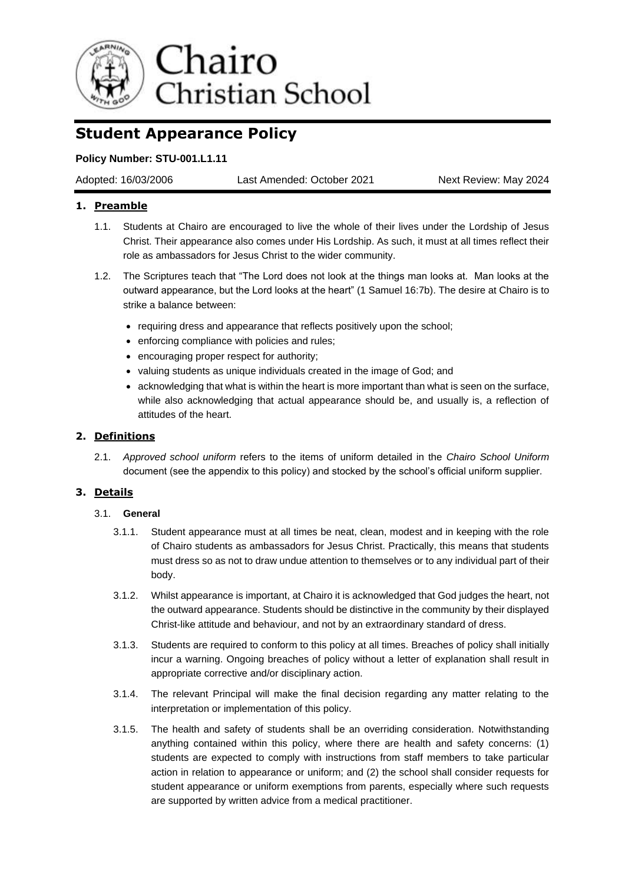

# **Student Appearance Policy**

# **Policy Number: STU-001.L1.11**

Adopted: 16/03/2006 Last Amended: October 2021 Next Review: May 2024

# **1. Preamble**

- 1.1. Students at Chairo are encouraged to live the whole of their lives under the Lordship of Jesus Christ. Their appearance also comes under His Lordship. As such, it must at all times reflect their role as ambassadors for Jesus Christ to the wider community.
- 1.2. The Scriptures teach that "The Lord does not look at the things man looks at. Man looks at the outward appearance, but the Lord looks at the heart" (1 Samuel 16:7b). The desire at Chairo is to strike a balance between:
	- requiring dress and appearance that reflects positively upon the school;
	- enforcing compliance with policies and rules;
	- encouraging proper respect for authority;
	- valuing students as unique individuals created in the image of God; and
	- acknowledging that what is within the heart is more important than what is seen on the surface. while also acknowledging that actual appearance should be, and usually is, a reflection of attitudes of the heart.

# **2. Definitions**

2.1. *Approved school uniform* refers to the items of uniform detailed in the *Chairo School Uniform*  document (see the appendix to this policy) and stocked by the school's official uniform supplier*.*

# **3. Details**

# 3.1. **General**

- 3.1.1. Student appearance must at all times be neat, clean, modest and in keeping with the role of Chairo students as ambassadors for Jesus Christ. Practically, this means that students must dress so as not to draw undue attention to themselves or to any individual part of their body.
- 3.1.2. Whilst appearance is important, at Chairo it is acknowledged that God judges the heart, not the outward appearance. Students should be distinctive in the community by their displayed Christ-like attitude and behaviour, and not by an extraordinary standard of dress.
- 3.1.3. Students are required to conform to this policy at all times. Breaches of policy shall initially incur a warning. Ongoing breaches of policy without a letter of explanation shall result in appropriate corrective and/or disciplinary action.
- 3.1.4. The relevant Principal will make the final decision regarding any matter relating to the interpretation or implementation of this policy.
- 3.1.5. The health and safety of students shall be an overriding consideration. Notwithstanding anything contained within this policy, where there are health and safety concerns: (1) students are expected to comply with instructions from staff members to take particular action in relation to appearance or uniform; and (2) the school shall consider requests for student appearance or uniform exemptions from parents, especially where such requests are supported by written advice from a medical practitioner.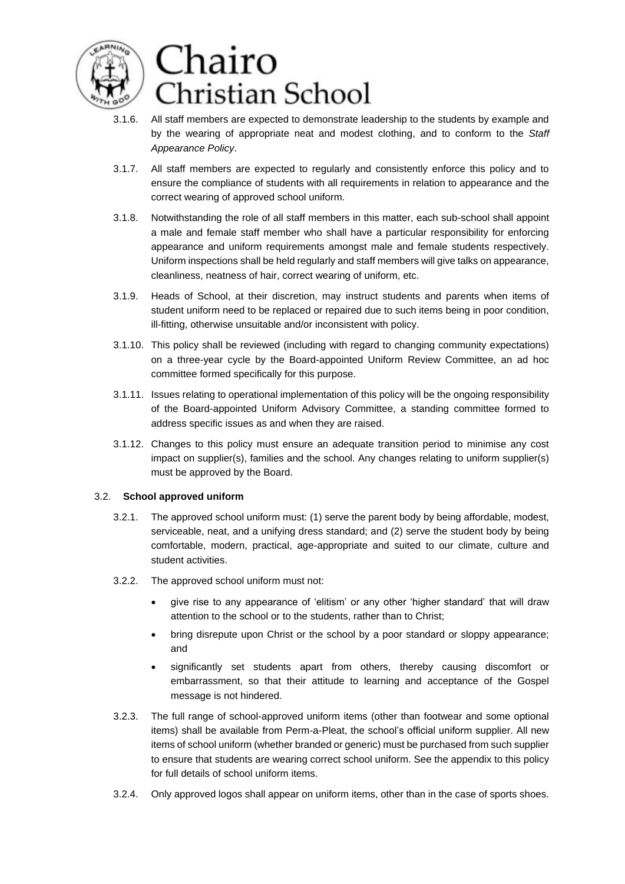

- 3.1.6. All staff members are expected to demonstrate leadership to the students by example and by the wearing of appropriate neat and modest clothing, and to conform to the *Staff Appearance Policy*.
- 3.1.7. All staff members are expected to regularly and consistently enforce this policy and to ensure the compliance of students with all requirements in relation to appearance and the correct wearing of approved school uniform.
- 3.1.8. Notwithstanding the role of all staff members in this matter, each sub-school shall appoint a male and female staff member who shall have a particular responsibility for enforcing appearance and uniform requirements amongst male and female students respectively. Uniform inspections shall be held regularly and staff members will give talks on appearance, cleanliness, neatness of hair, correct wearing of uniform, etc.
- 3.1.9. Heads of School, at their discretion, may instruct students and parents when items of student uniform need to be replaced or repaired due to such items being in poor condition, ill-fitting, otherwise unsuitable and/or inconsistent with policy.
- 3.1.10. This policy shall be reviewed (including with regard to changing community expectations) on a three-year cycle by the Board-appointed Uniform Review Committee, an ad hoc committee formed specifically for this purpose.
- 3.1.11. Issues relating to operational implementation of this policy will be the ongoing responsibility of the Board-appointed Uniform Advisory Committee, a standing committee formed to address specific issues as and when they are raised.
- 3.1.12. Changes to this policy must ensure an adequate transition period to minimise any cost impact on supplier(s), families and the school. Any changes relating to uniform supplier(s) must be approved by the Board.

# 3.2. **School approved uniform**

- 3.2.1. The approved school uniform must: (1) serve the parent body by being affordable, modest, serviceable, neat, and a unifying dress standard; and (2) serve the student body by being comfortable, modern, practical, age-appropriate and suited to our climate, culture and student activities.
- 3.2.2. The approved school uniform must not:
	- give rise to any appearance of 'elitism' or any other 'higher standard' that will draw attention to the school or to the students, rather than to Christ;
	- bring disrepute upon Christ or the school by a poor standard or sloppy appearance; and
	- significantly set students apart from others, thereby causing discomfort or embarrassment, so that their attitude to learning and acceptance of the Gospel message is not hindered.
- 3.2.3. The full range of school-approved uniform items (other than footwear and some optional items) shall be available from Perm-a-Pleat, the school's official uniform supplier. All new items of school uniform (whether branded or generic) must be purchased from such supplier to ensure that students are wearing correct school uniform. See the appendix to this policy for full details of school uniform items.
- 3.2.4. Only approved logos shall appear on uniform items, other than in the case of sports shoes.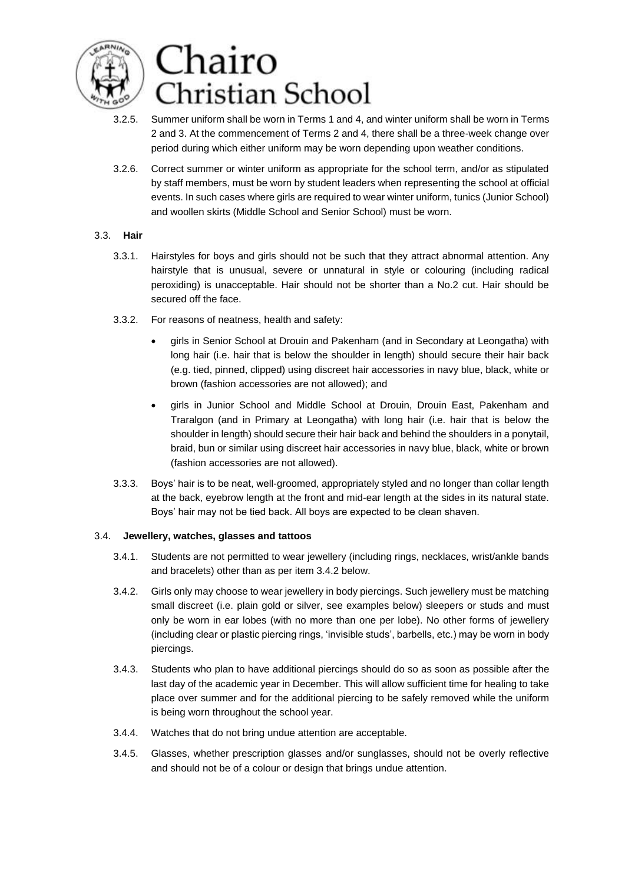

- 3.2.5. Summer uniform shall be worn in Terms 1 and 4, and winter uniform shall be worn in Terms 2 and 3. At the commencement of Terms 2 and 4, there shall be a three-week change over period during which either uniform may be worn depending upon weather conditions.
- 3.2.6. Correct summer or winter uniform as appropriate for the school term, and/or as stipulated by staff members, must be worn by student leaders when representing the school at official events. In such cases where girls are required to wear winter uniform, tunics (Junior School) and woollen skirts (Middle School and Senior School) must be worn.

### 3.3. **Hair**

- 3.3.1. Hairstyles for boys and girls should not be such that they attract abnormal attention. Any hairstyle that is unusual, severe or unnatural in style or colouring (including radical peroxiding) is unacceptable. Hair should not be shorter than a No.2 cut. Hair should be secured off the face.
- 3.3.2. For reasons of neatness, health and safety:
	- girls in Senior School at Drouin and Pakenham (and in Secondary at Leongatha) with long hair (i.e. hair that is below the shoulder in length) should secure their hair back (e.g. tied, pinned, clipped) using discreet hair accessories in navy blue, black, white or brown (fashion accessories are not allowed); and
	- girls in Junior School and Middle School at Drouin, Drouin East, Pakenham and Traralgon (and in Primary at Leongatha) with long hair (i.e. hair that is below the shoulder in length) should secure their hair back and behind the shoulders in a ponytail, braid, bun or similar using discreet hair accessories in navy blue, black, white or brown (fashion accessories are not allowed).
- 3.3.3. Boys' hair is to be neat, well-groomed, appropriately styled and no longer than collar length at the back, eyebrow length at the front and mid-ear length at the sides in its natural state. Boys' hair may not be tied back. All boys are expected to be clean shaven.

# 3.4. **Jewellery, watches, glasses and tattoos**

- 3.4.1. Students are not permitted to wear jewellery (including rings, necklaces, wrist/ankle bands and bracelets) other than as per item 3.4.2 below.
- 3.4.2. Girls only may choose to wear jewellery in body piercings. Such jewellery must be matching small discreet (i.e. plain gold or silver, see examples below) sleepers or studs and must only be worn in ear lobes (with no more than one per lobe). No other forms of jewellery (including clear or plastic piercing rings, 'invisible studs', barbells, etc.) may be worn in body piercings.
- 3.4.3. Students who plan to have additional piercings should do so as soon as possible after the last day of the academic year in December. This will allow sufficient time for healing to take place over summer and for the additional piercing to be safely removed while the uniform is being worn throughout the school year.
- 3.4.4. Watches that do not bring undue attention are acceptable.
- 3.4.5. Glasses, whether prescription glasses and/or sunglasses, should not be overly reflective and should not be of a colour or design that brings undue attention.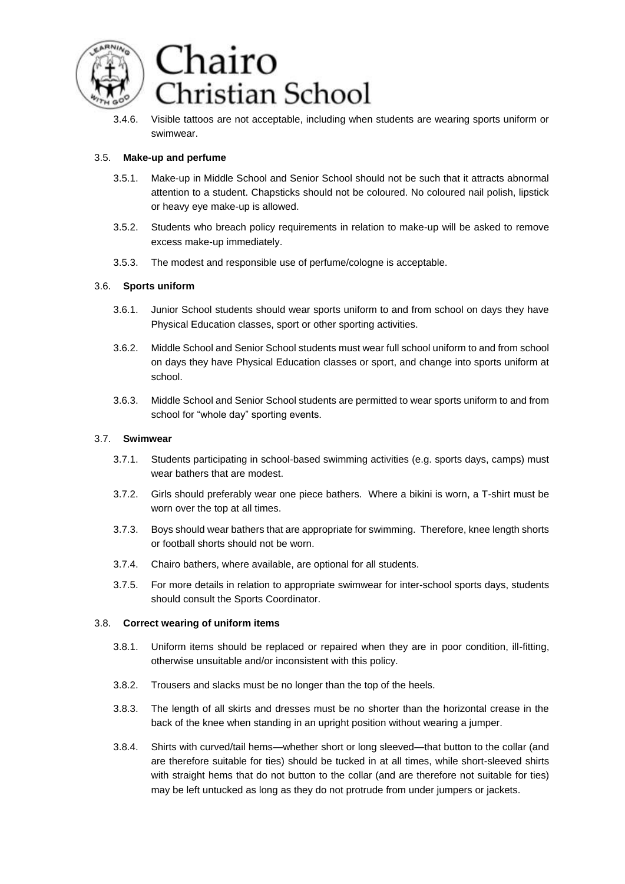

3.4.6. Visible tattoos are not acceptable, including when students are wearing sports uniform or swimwear.

### 3.5. **Make-up and perfume**

- 3.5.1. Make-up in Middle School and Senior School should not be such that it attracts abnormal attention to a student. Chapsticks should not be coloured. No coloured nail polish, lipstick or heavy eye make-up is allowed.
- 3.5.2. Students who breach policy requirements in relation to make-up will be asked to remove excess make-up immediately.
- 3.5.3. The modest and responsible use of perfume/cologne is acceptable.

### 3.6. **Sports uniform**

- 3.6.1. Junior School students should wear sports uniform to and from school on days they have Physical Education classes, sport or other sporting activities.
- 3.6.2. Middle School and Senior School students must wear full school uniform to and from school on days they have Physical Education classes or sport, and change into sports uniform at school.
- 3.6.3. Middle School and Senior School students are permitted to wear sports uniform to and from school for "whole day" sporting events.

#### 3.7. **Swimwear**

- 3.7.1. Students participating in school-based swimming activities (e.g. sports days, camps) must wear bathers that are modest.
- 3.7.2. Girls should preferably wear one piece bathers. Where a bikini is worn, a T-shirt must be worn over the top at all times.
- 3.7.3. Boys should wear bathers that are appropriate for swimming. Therefore, knee length shorts or football shorts should not be worn.
- 3.7.4. Chairo bathers, where available, are optional for all students.
- 3.7.5. For more details in relation to appropriate swimwear for inter-school sports days, students should consult the Sports Coordinator.

#### 3.8. **Correct wearing of uniform items**

- 3.8.1. Uniform items should be replaced or repaired when they are in poor condition, ill-fitting, otherwise unsuitable and/or inconsistent with this policy.
- 3.8.2. Trousers and slacks must be no longer than the top of the heels.
- 3.8.3. The length of all skirts and dresses must be no shorter than the horizontal crease in the back of the knee when standing in an upright position without wearing a jumper.
- 3.8.4. Shirts with curved/tail hems—whether short or long sleeved—that button to the collar (and are therefore suitable for ties) should be tucked in at all times, while short-sleeved shirts with straight hems that do not button to the collar (and are therefore not suitable for ties) may be left untucked as long as they do not protrude from under jumpers or jackets.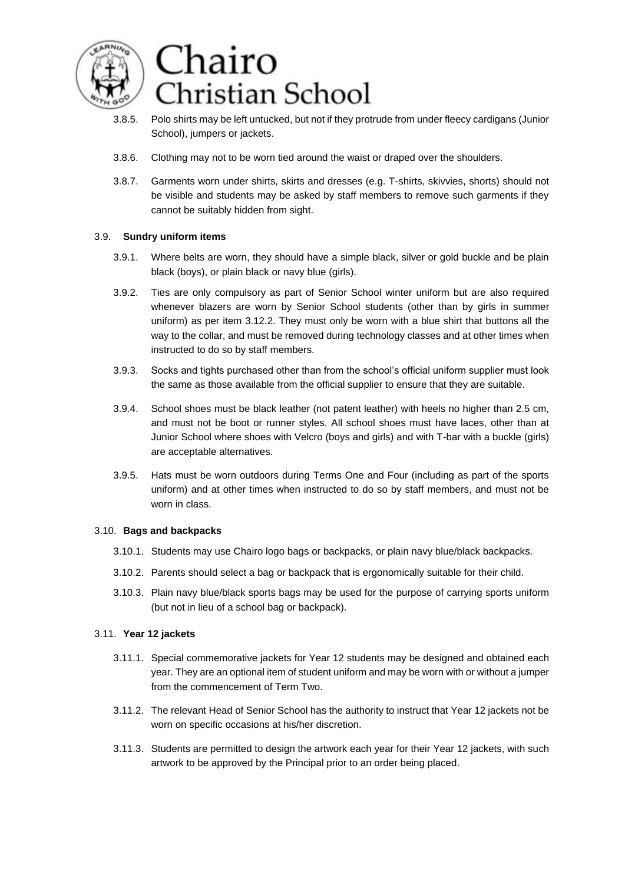

- 3.8.5. Polo shirts may be left untucked, but not if they protrude from under fleecy cardigans (Junior School), jumpers or jackets.
- 3.8.6. Clothing may not to be worn tied around the waist or draped over the shoulders.
- 3.8.7. Garments worn under shirts, skirts and dresses (e.g. T-shirts, skivvies, shorts) should not be visible and students may be asked by staff members to remove such garments if they cannot be suitably hidden from sight.

### 3.9. **Sundry uniform items**

- 3.9.1. Where belts are worn, they should have a simple black, silver or gold buckle and be plain black (boys), or plain black or navy blue (girls).
- 3.9.2. Ties are only compulsory as part of Senior School winter uniform but are also required whenever blazers are worn by Senior School students (other than by girls in summer uniform) as per item 3.12.2. They must only be worn with a blue shirt that buttons all the way to the collar, and must be removed during technology classes and at other times when instructed to do so by staff members.
- 3.9.3. Socks and tights purchased other than from the school's official uniform supplier must look the same as those available from the official supplier to ensure that they are suitable.
- 3.9.4. School shoes must be black leather (not patent leather) with heels no higher than 2.5 cm, and must not be boot or runner styles. All school shoes must have laces, other than at Junior School where shoes with Velcro (boys and girls) and with T-bar with a buckle (girls) are acceptable alternatives.
- 3.9.5. Hats must be worn outdoors during Terms One and Four (including as part of the sports uniform) and at other times when instructed to do so by staff members, and must not be worn in class.

#### 3.10. **Bags and backpacks**

- 3.10.1. Students may use Chairo logo bags or backpacks, or plain navy blue/black backpacks.
- 3.10.2. Parents should select a bag or backpack that is ergonomically suitable for their child.
- 3.10.3. Plain navy blue/black sports bags may be used for the purpose of carrying sports uniform (but not in lieu of a school bag or backpack).

#### 3.11. **Year 12 jackets**

- 3.11.1. Special commemorative jackets for Year 12 students may be designed and obtained each year. They are an optional item of student uniform and may be worn with or without a jumper from the commencement of Term Two.
- 3.11.2. The relevant Head of Senior School has the authority to instruct that Year 12 jackets not be worn on specific occasions at his/her discretion.
- 3.11.3. Students are permitted to design the artwork each year for their Year 12 jackets, with such artwork to be approved by the Principal prior to an order being placed.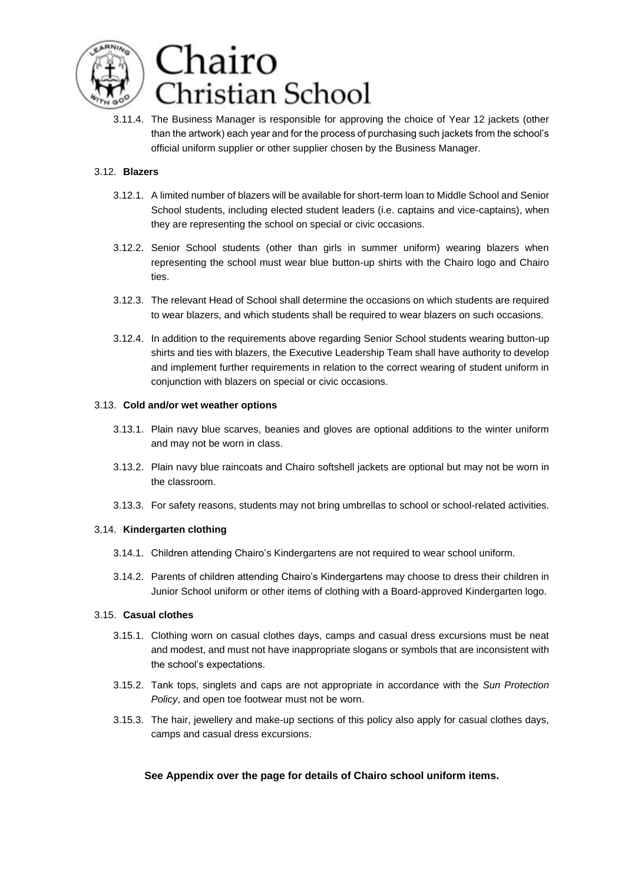

3.11.4. The Business Manager is responsible for approving the choice of Year 12 jackets (other than the artwork) each year and for the process of purchasing such jackets from the school's official uniform supplier or other supplier chosen by the Business Manager.

# 3.12. **Blazers**

- 3.12.1. A limited number of blazers will be available for short-term loan to Middle School and Senior School students, including elected student leaders (i.e. captains and vice-captains), when they are representing the school on special or civic occasions.
- 3.12.2. Senior School students (other than girls in summer uniform) wearing blazers when representing the school must wear blue button-up shirts with the Chairo logo and Chairo ties.
- 3.12.3. The relevant Head of School shall determine the occasions on which students are required to wear blazers, and which students shall be required to wear blazers on such occasions.
- 3.12.4. In addition to the requirements above regarding Senior School students wearing button-up shirts and ties with blazers, the Executive Leadership Team shall have authority to develop and implement further requirements in relation to the correct wearing of student uniform in conjunction with blazers on special or civic occasions.

### 3.13. **Cold and/or wet weather options**

- 3.13.1. Plain navy blue scarves, beanies and gloves are optional additions to the winter uniform and may not be worn in class.
- 3.13.2. Plain navy blue raincoats and Chairo softshell jackets are optional but may not be worn in the classroom.
- 3.13.3. For safety reasons, students may not bring umbrellas to school or school-related activities.

# 3.14. **Kindergarten clothing**

- 3.14.1. Children attending Chairo's Kindergartens are not required to wear school uniform.
- 3.14.2. Parents of children attending Chairo's Kindergartens may choose to dress their children in Junior School uniform or other items of clothing with a Board-approved Kindergarten logo.

# 3.15. **Casual clothes**

- 3.15.1. Clothing worn on casual clothes days, camps and casual dress excursions must be neat and modest, and must not have inappropriate slogans or symbols that are inconsistent with the school's expectations.
- 3.15.2. Tank tops, singlets and caps are not appropriate in accordance with the *Sun Protection Policy*, and open toe footwear must not be worn.
- 3.15.3. The hair, jewellery and make-up sections of this policy also apply for casual clothes days, camps and casual dress excursions.

# **See Appendix over the page for details of Chairo school uniform items.**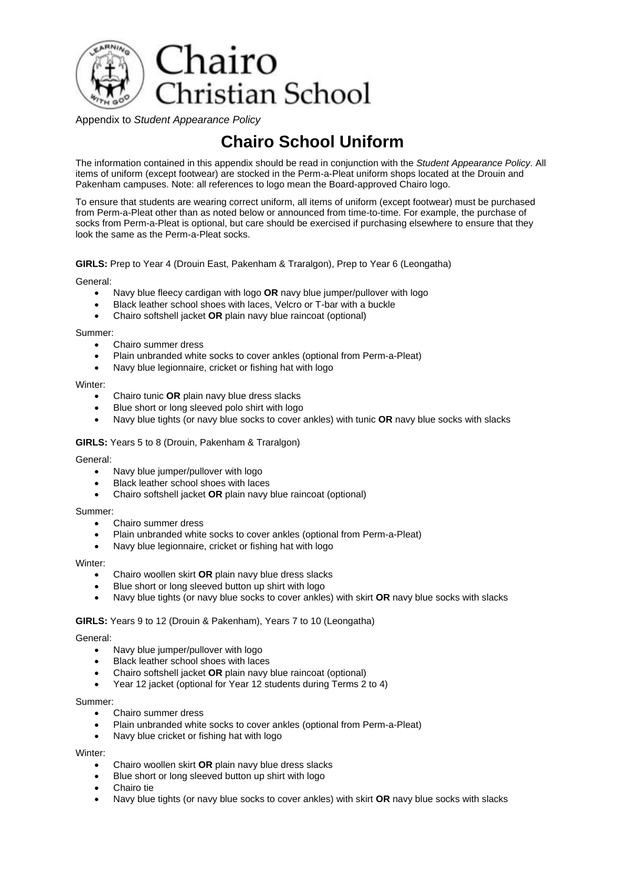

Appendix to *Student Appearance Policy*

# **Chairo School Uniform**

The information contained in this appendix should be read in conjunction with the *Student Appearance Policy*. All items of uniform (except footwear) are stocked in the Perm-a-Pleat uniform shops located at the Drouin and Pakenham campuses. Note: all references to logo mean the Board-approved Chairo logo.

To ensure that students are wearing correct uniform, all items of uniform (except footwear) must be purchased from Perm-a-Pleat other than as noted below or announced from time-to-time. For example, the purchase of socks from Perm-a-Pleat is optional, but care should be exercised if purchasing elsewhere to ensure that they look the same as the Perm-a-Pleat socks.

#### **GIRLS:** Prep to Year 4 (Drouin East, Pakenham & Traralgon), Prep to Year 6 (Leongatha)

General:

- Navy blue fleecy cardigan with logo **OR** navy blue jumper/pullover with logo
- Black leather school shoes with laces, Velcro or T-bar with a buckle
- Chairo softshell jacket **OR** plain navy blue raincoat (optional)

Summer:

- Chairo summer dress
- Plain unbranded white socks to cover ankles (optional from Perm-a-Pleat)
- Navy blue legionnaire, cricket or fishing hat with logo

Winter:

- Chairo tunic **OR** plain navy blue dress slacks
- Blue short or long sleeved polo shirt with logo
- Navy blue tights (or navy blue socks to cover ankles) with tunic **OR** navy blue socks with slacks

#### **GIRLS:** Years 5 to 8 (Drouin, Pakenham & Traralgon)

General:

- Navy blue jumper/pullover with logo
- Black leather school shoes with laces
- Chairo softshell jacket **OR** plain navy blue raincoat (optional)

Summer:

- Chairo summer dress
- Plain unbranded white socks to cover ankles (optional from Perm-a-Pleat)
- Navy blue legionnaire, cricket or fishing hat with logo

#### Winter:

- Chairo woollen skirt **OR** plain navy blue dress slacks
- Blue short or long sleeved button up shirt with logo
- Navy blue tights (or navy blue socks to cover ankles) with skirt **OR** navy blue socks with slacks

#### **GIRLS:** Years 9 to 12 (Drouin & Pakenham), Years 7 to 10 (Leongatha)

#### General:

- Navy blue jumper/pullover with logo
- Black leather school shoes with laces
- Chairo softshell jacket **OR** plain navy blue raincoat (optional)
- Year 12 jacket (optional for Year 12 students during Terms 2 to 4)

Summer:

- Chairo summer dress
- Plain unbranded white socks to cover ankles (optional from Perm-a-Pleat)
- Navy blue cricket or fishing hat with logo

#### Winter:

- Chairo woollen skirt **OR** plain navy blue dress slacks
- Blue short or long sleeved button up shirt with logo
- Chairo tie
- Navy blue tights (or navy blue socks to cover ankles) with skirt **OR** navy blue socks with slacks